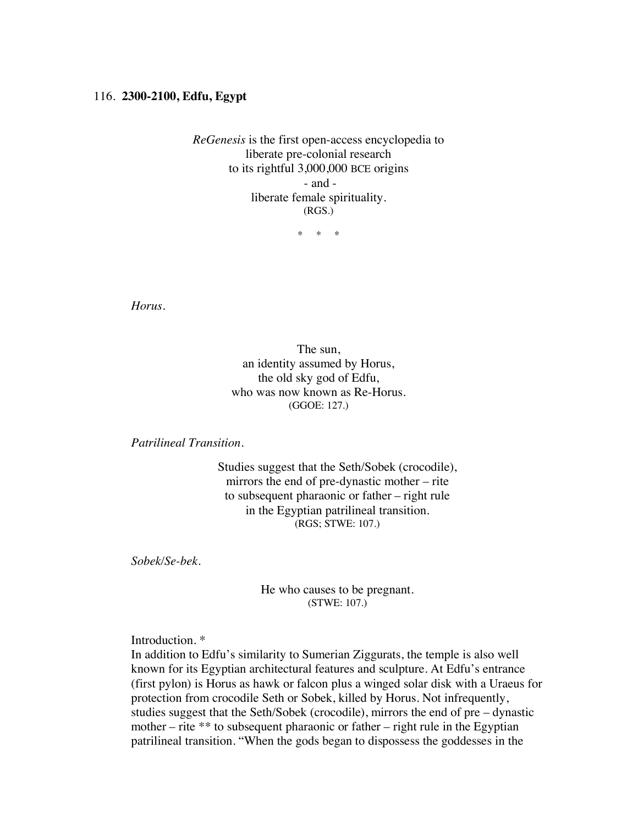## 116. **2300-2100, Edfu, Egypt**

*ReGenesis* is the first open-access encyclopedia to liberate pre-colonial research to its rightful 3,000,000 BCE origins - and liberate female spirituality. (RGS.)

\* \* \*

*Horus.*

The sun, an identity assumed by Horus, the old sky god of Edfu, who was now known as Re-Horus. (GGOE: 127.)

*Patrilineal Transition.*

Studies suggest that the Seth/Sobek (crocodile), mirrors the end of pre-dynastic mother – rite to subsequent pharaonic or father – right rule in the Egyptian patrilineal transition. (RGS; STWE: 107.)

*Sobek/Se-bek.*

He who causes to be pregnant. (STWE: 107.)

Introduction. \*

In addition to Edfu's similarity to Sumerian Ziggurats, the temple is also well known for its Egyptian architectural features and sculpture. At Edfu's entrance (first pylon) is Horus as hawk or falcon plus a winged solar disk with a Uraeus for protection from crocodile Seth or Sobek, killed by Horus. Not infrequently, studies suggest that the Seth/Sobek (crocodile), mirrors the end of pre – dynastic mother – rite  $**$  to subsequent pharaonic or father – right rule in the Egyptian patrilineal transition. "When the gods began to dispossess the goddesses in the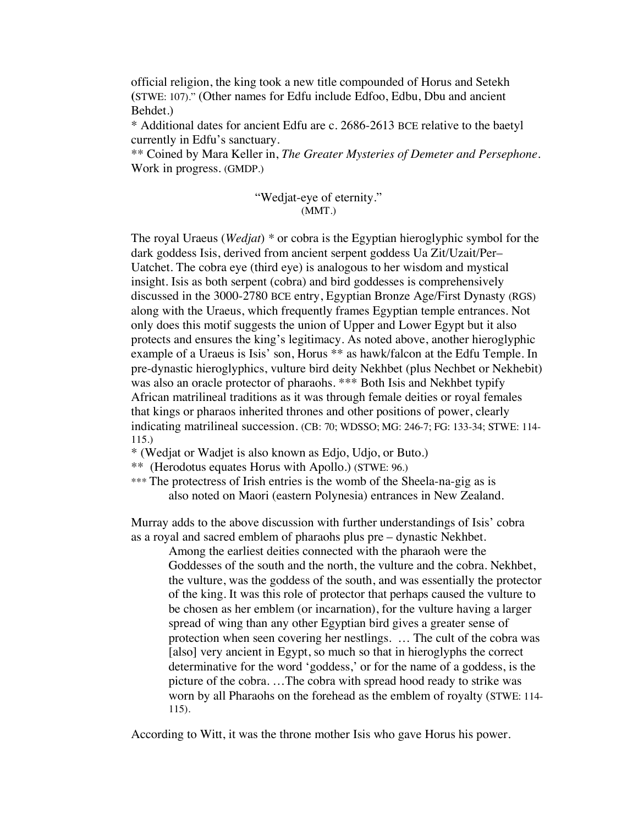official religion, the king took a new title compounded of Horus and Setekh **(**STWE: 107)." (Other names for Edfu include Edfoo, Edbu, Dbu and ancient Behdet.)

\* Additional dates for ancient Edfu are c. 2686-2613 BCE relative to the baetyl currently in Edfu's sanctuary.

\*\* Coined by Mara Keller in, *The Greater Mysteries of Demeter and Persephone*. Work in progress. (GMDP.)

## "Wedjat-eye of eternity." (MMT.)

The royal Uraeus (*Wedjat*) *\** or cobra is the Egyptian hieroglyphic symbol for the dark goddess Isis, derived from ancient serpent goddess Ua Zit/Uzait/Per– Uatchet. The cobra eye (third eye) is analogous to her wisdom and mystical insight. Isis as both serpent (cobra) and bird goddesses is comprehensively discussed in the 3000-2780 BCE entry, Egyptian Bronze Age/First Dynasty (RGS) along with the Uraeus, which frequently frames Egyptian temple entrances. Not only does this motif suggests the union of Upper and Lower Egypt but it also protects and ensures the king's legitimacy. As noted above, another hieroglyphic example of a Uraeus is Isis' son, Horus \*\* as hawk/falcon at the Edfu Temple. In pre-dynastic hieroglyphics, vulture bird deity Nekhbet (plus Nechbet or Nekhebit) was also an oracle protector of pharaohs. \*\*\* Both Isis and Nekhbet typify African matrilineal traditions as it was through female deities or royal females that kings or pharaos inherited thrones and other positions of power, clearly indicating matrilineal succession. (CB: 70; WDSSO; MG: 246-7; FG: 133-34; STWE: 114- 115.)

\* (Wedjat or Wadjet is also known as Edjo, Udjo, or Buto.)

\*\* (Herodotus equates Horus with Apollo.) (STWE: 96.)

\*\*\* The protectress of Irish entries is the womb of the Sheela-na-gig as is also noted on Maori (eastern Polynesia) entrances in New Zealand.

Murray adds to the above discussion with further understandings of Isis' cobra as a royal and sacred emblem of pharaohs plus pre – dynastic Nekhbet.

Among the earliest deities connected with the pharaoh were the Goddesses of the south and the north, the vulture and the cobra. Nekhbet, the vulture, was the goddess of the south, and was essentially the protector of the king. It was this role of protector that perhaps caused the vulture to be chosen as her emblem (or incarnation), for the vulture having a larger spread of wing than any other Egyptian bird gives a greater sense of protection when seen covering her nestlings. … The cult of the cobra was [also] very ancient in Egypt, so much so that in hieroglyphs the correct determinative for the word 'goddess,' or for the name of a goddess, is the picture of the cobra. …The cobra with spread hood ready to strike was worn by all Pharaohs on the forehead as the emblem of royalty (STWE: 114- 115).

According to Witt, it was the throne mother Isis who gave Horus his power.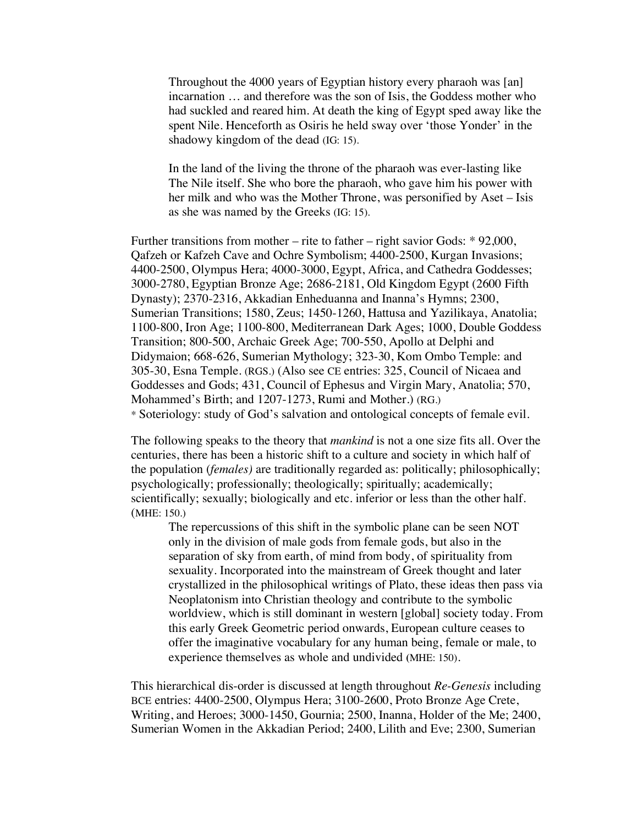Throughout the 4000 years of Egyptian history every pharaoh was [an] incarnation … and therefore was the son of Isis, the Goddess mother who had suckled and reared him. At death the king of Egypt sped away like the spent Nile. Henceforth as Osiris he held sway over 'those Yonder' in the shadowy kingdom of the dead (IG: 15).

In the land of the living the throne of the pharaoh was ever-lasting like The Nile itself. She who bore the pharaoh, who gave him his power with her milk and who was the Mother Throne, was personified by Aset – Isis as she was named by the Greeks (IG: 15).

Further transitions from mother – rite to father – right savior Gods:  $* 92,000$ , Qafzeh or Kafzeh Cave and Ochre Symbolism; 4400-2500, Kurgan Invasions; 4400-2500, Olympus Hera; 4000-3000, Egypt, Africa, and Cathedra Goddesses; 3000-2780, Egyptian Bronze Age; 2686-2181, Old Kingdom Egypt (2600 Fifth Dynasty); 2370-2316, Akkadian Enheduanna and Inanna's Hymns; 2300, Sumerian Transitions; 1580, Zeus; 1450-1260, Hattusa and Yazilikaya, Anatolia; 1100-800, Iron Age; 1100-800, Mediterranean Dark Ages; 1000, Double Goddess Transition; 800-500, Archaic Greek Age; 700-550, Apollo at Delphi and Didymaion; 668-626, Sumerian Mythology; 323-30, Kom Ombo Temple: and 305-30, Esna Temple. (RGS.) (Also see CE entries: 325, Council of Nicaea and Goddesses and Gods; 431, Council of Ephesus and Virgin Mary, Anatolia; 570, Mohammed's Birth; and 1207-1273, Rumi and Mother.) (RG.) \* Soteriology: study of God's salvation and ontological concepts of female evil.

The following speaks to the theory that *mankind* is not a one size fits all. Over the centuries, there has been a historic shift to a culture and society in which half of the population (*females)* are traditionally regarded as: politically; philosophically; psychologically; professionally; theologically; spiritually; academically; scientifically; sexually; biologically and etc. inferior or less than the other half. (MHE: 150.)

The repercussions of this shift in the symbolic plane can be seen NOT only in the division of male gods from female gods, but also in the separation of sky from earth, of mind from body, of spirituality from sexuality. Incorporated into the mainstream of Greek thought and later crystallized in the philosophical writings of Plato, these ideas then pass via Neoplatonism into Christian theology and contribute to the symbolic worldview, which is still dominant in western [global] society today. From this early Greek Geometric period onwards, European culture ceases to offer the imaginative vocabulary for any human being, female or male, to experience themselves as whole and undivided **(**MHE: 150).

This hierarchical dis-order is discussed at length throughout *Re-Genesis* including BCE entries: 4400-2500, Olympus Hera; 3100-2600, Proto Bronze Age Crete, Writing, and Heroes; 3000-1450, Gournia; 2500, Inanna, Holder of the Me; 2400, Sumerian Women in the Akkadian Period; 2400, Lilith and Eve; 2300, Sumerian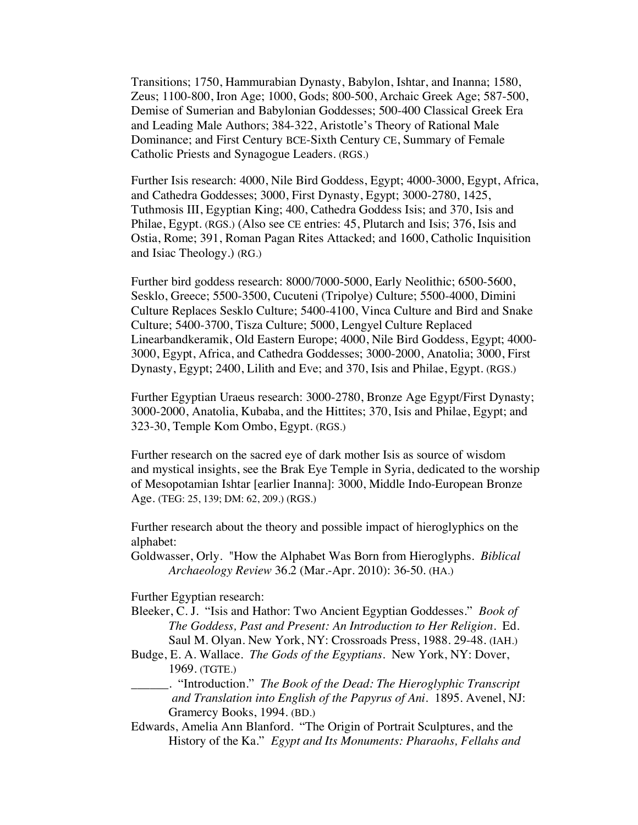Transitions; 1750, Hammurabian Dynasty, Babylon, Ishtar, and Inanna; 1580, Zeus; 1100-800, Iron Age; 1000, Gods; 800-500, Archaic Greek Age; 587-500, Demise of Sumerian and Babylonian Goddesses; 500-400 Classical Greek Era and Leading Male Authors; 384-322, Aristotle's Theory of Rational Male Dominance; and First Century BCE-Sixth Century CE, Summary of Female Catholic Priests and Synagogue Leaders. (RGS.)

Further Isis research: 4000, Nile Bird Goddess, Egypt; 4000-3000, Egypt, Africa, and Cathedra Goddesses; 3000, First Dynasty, Egypt; 3000-2780, 1425, Tuthmosis III, Egyptian King; 400, Cathedra Goddess Isis; and 370, Isis and Philae, Egypt. (RGS.) (Also see CE entries: 45, Plutarch and Isis; 376, Isis and Ostia, Rome; 391, Roman Pagan Rites Attacked; and 1600, Catholic Inquisition and Isiac Theology.) (RG.)

Further bird goddess research: 8000/7000-5000, Early Neolithic; 6500-5600, Sesklo, Greece; 5500-3500, Cucuteni (Tripolye) Culture; 5500-4000, Dimini Culture Replaces Sesklo Culture; 5400-4100, Vinca Culture and Bird and Snake Culture; 5400-3700, Tisza Culture; 5000, Lengyel Culture Replaced Linearbandkeramik, Old Eastern Europe; 4000, Nile Bird Goddess, Egypt; 4000- 3000, Egypt, Africa, and Cathedra Goddesses; 3000-2000, Anatolia; 3000, First Dynasty, Egypt; 2400, Lilith and Eve; and 370, Isis and Philae, Egypt. (RGS.)

Further Egyptian Uraeus research: 3000-2780, Bronze Age Egypt/First Dynasty; 3000-2000, Anatolia, Kubaba, and the Hittites; 370, Isis and Philae, Egypt; and 323-30, Temple Kom Ombo, Egypt. (RGS.)

Further research on the sacred eye of dark mother Isis as source of wisdom and mystical insights, see the Brak Eye Temple in Syria, dedicated to the worship of Mesopotamian Ishtar [earlier Inanna]: 3000, Middle Indo-European Bronze Age. (TEG: 25, 139; DM: 62, 209.) (RGS.)

Further research about the theory and possible impact of hieroglyphics on the alphabet:

Goldwasser, Orly. "How the Alphabet Was Born from Hieroglyphs. *Biblical Archaeology Review* 36.2 (Mar.-Apr. 2010): 36-50. (HA.)

Further Egyptian research:

- Bleeker, C. J. "Isis and Hathor: Two Ancient Egyptian Goddesses." *Book of The Goddess, Past and Present: An Introduction to Her Religion.* Ed. Saul M. Olyan. New York, NY: Crossroads Press, 1988. 29-48. (IAH.)
- Budge, E. A. Wallace. *The Gods of the Egyptians.* New York, NY: Dover, 1969. (TGTE.)
- \_\_\_\_\_\_. "Introduction." *The Book of the Dead: The Hieroglyphic Transcript and Translation into English of the Papyrus of Ani*. 1895. Avenel, NJ: Gramercy Books, 1994. (BD.)
- Edwards, Amelia Ann Blanford. "The Origin of Portrait Sculptures, and the History of the Ka." *Egypt and Its Monuments: Pharaohs, Fellahs and*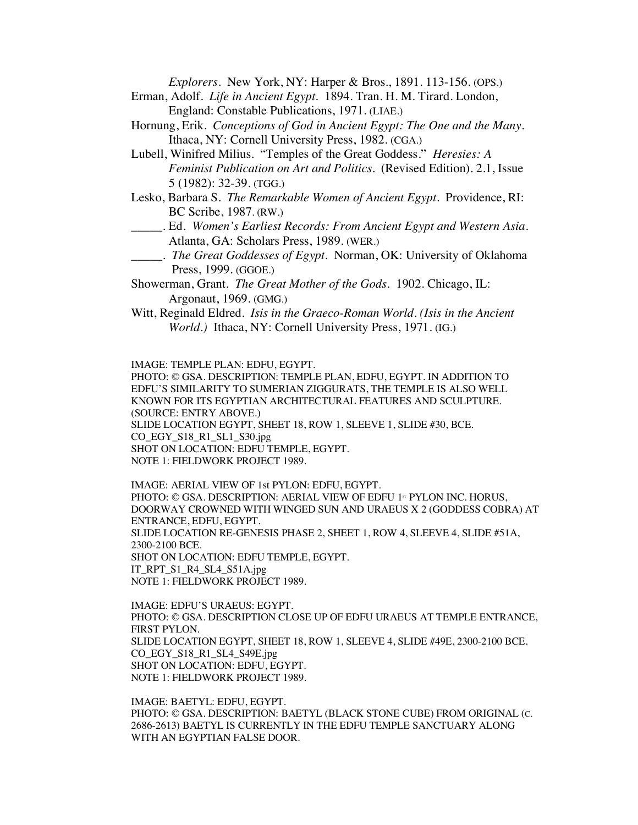*Explorers*. New York, NY: Harper & Bros., 1891. 113-156. (OPS.)

- Erman, Adolf. *Life in Ancient Egypt.* 1894. Tran. H. M. Tirard. London, England: Constable Publications, 1971. (LIAE.)
- Hornung, Erik. *Conceptions of God in Ancient Egypt: The One and the Many*. Ithaca, NY: Cornell University Press, 1982. (CGA.)
- Lubell, Winifred Milius. "Temples of the Great Goddess." *Heresies: A Feminist Publication on Art and Politics.* (Revised Edition). 2.1, Issue 5 (1982): 32-39. (TGG.)
- Lesko, Barbara S. *The Remarkable Women of Ancient Egypt*. Providence, RI: BC Scribe, 1987. (RW.)
- \_\_\_\_\_. Ed. *Women's Earliest Records: From Ancient Egypt and Western Asia*. Atlanta, GA: Scholars Press, 1989. (WER.)
- \_\_\_\_\_. *The Great Goddesses of Egypt*. Norman, OK: University of Oklahoma Press, 1999. (GGOE.)
- Showerman, Grant. *The Great Mother of the Gods*. 1902. Chicago, IL: Argonaut, 1969. (GMG.)
- Witt, Reginald Eldred. *Isis in the Graeco-Roman World*. *(Isis in the Ancient World.)* Ithaca, NY: Cornell University Press, 1971. (IG.)

IMAGE: TEMPLE PLAN: EDFU, EGYPT.

PHOTO: © GSA. DESCRIPTION: TEMPLE PLAN, EDFU, EGYPT. IN ADDITION TO EDFU'S SIMILARITY TO SUMERIAN ZIGGURATS, THE TEMPLE IS ALSO WELL KNOWN FOR ITS EGYPTIAN ARCHITECTURAL FEATURES AND SCULPTURE. (SOURCE: ENTRY ABOVE.) SLIDE LOCATION EGYPT, SHEET 18, ROW 1, SLEEVE 1, SLIDE #30, BCE. CO\_EGY\_S18\_R1\_SL1\_S30.jpg SHOT ON LOCATION: EDFU TEMPLE, EGYPT. NOTE 1: FIELDWORK PROJECT 1989.

IMAGE: AERIAL VIEW OF 1st PYLON: EDFU, EGYPT. PHOTO: © GSA. DESCRIPTION: AERIAL VIEW OF EDFU 1<sup>st</sup> PYLON INC. HORUS, DOORWAY CROWNED WITH WINGED SUN AND URAEUS X 2 (GODDESS COBRA) AT ENTRANCE, EDFU, EGYPT. SLIDE LOCATION RE-GENESIS PHASE 2, SHEET 1, ROW 4, SLEEVE 4, SLIDE #51A, 2300-2100 BCE. SHOT ON LOCATION: EDFU TEMPLE, EGYPT. IT\_RPT\_S1\_R4\_SL4\_S51A.jpg NOTE 1: FIELDWORK PROJECT 1989.

IMAGE: EDFU'S URAEUS: EGYPT. PHOTO: © GSA. DESCRIPTION CLOSE UP OF EDFU URAEUS AT TEMPLE ENTRANCE, FIRST PYLON. SLIDE LOCATION EGYPT, SHEET 18, ROW 1, SLEEVE 4, SLIDE #49E, 2300-2100 BCE. CO\_EGY\_S18\_R1\_SL4\_S49E.jpg SHOT ON LOCATION: EDFU, EGYPT. NOTE 1: FIELDWORK PROJECT 1989.

IMAGE: BAETYL: EDFU, EGYPT. PHOTO: © GSA. DESCRIPTION: BAETYL (BLACK STONE CUBE) FROM ORIGINAL (C. 2686-2613) BAETYL IS CURRENTLY IN THE EDFU TEMPLE SANCTUARY ALONG WITH AN EGYPTIAN FALSE DOOR.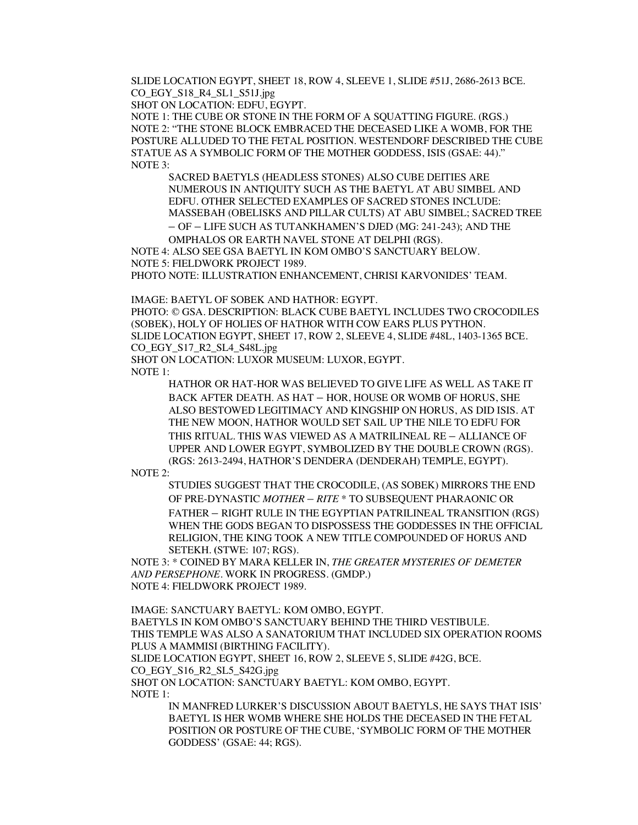SLIDE LOCATION EGYPT, SHEET 18, ROW 4, SLEEVE 1, SLIDE #51J, 2686-2613 BCE. CO\_EGY\_S18\_R4\_SL1\_S51J.jpg

SHOT ON LOCATION: EDFU, EGYPT.

NOTE 1: THE CUBE OR STONE IN THE FORM OF A SQUATTING FIGURE. (RGS.) NOTE 2: "THE STONE BLOCK EMBRACED THE DECEASED LIKE A WOMB, FOR THE POSTURE ALLUDED TO THE FETAL POSITION. WESTENDORF DESCRIBED THE CUBE STATUE AS A SYMBOLIC FORM OF THE MOTHER GODDESS, ISIS (GSAE: 44)." NOTE 3:

SACRED BAETYLS (HEADLESS STONES) ALSO CUBE DEITIES ARE NUMEROUS IN ANTIQUITY SUCH AS THE BAETYL AT ABU SIMBEL AND EDFU. OTHER SELECTED EXAMPLES OF SACRED STONES INCLUDE: MASSEBAH (OBELISKS AND PILLAR CULTS) AT ABU SIMBEL; SACRED TREE – OF – LIFE SUCH AS TUTANKHAMEN'S DJED (MG: 241-243); AND THE OMPHALOS OR EARTH NAVEL STONE AT DELPHI (RGS).

NOTE 4: ALSO SEE GSA BAETYL IN KOM OMBO'S SANCTUARY BELOW. NOTE 5: FIELDWORK PROJECT 1989.

PHOTO NOTE: ILLUSTRATION ENHANCEMENT, CHRISI KARVONIDES' TEAM.

IMAGE: BAETYL OF SOBEK AND HATHOR: EGYPT.

PHOTO: © GSA. DESCRIPTION: BLACK CUBE BAETYL INCLUDES TWO CROCODILES (SOBEK), HOLY OF HOLIES OF HATHOR WITH COW EARS PLUS PYTHON. SLIDE LOCATION EGYPT, SHEET 17, ROW 2, SLEEVE 4, SLIDE #48L, 1403-1365 BCE. CO\_EGY\_S17\_R2\_SL4\_S48L.jpg

SHOT ON LOCATION: LUXOR MUSEUM: LUXOR, EGYPT. NOTE 1:

HATHOR OR HAT-HOR WAS BELIEVED TO GIVE LIFE AS WELL AS TAKE IT BACK AFTER DEATH. AS HAT – HOR, HOUSE OR WOMB OF HORUS, SHE ALSO BESTOWED LEGITIMACY AND KINGSHIP ON HORUS, AS DID ISIS. AT THE NEW MOON, HATHOR WOULD SET SAIL UP THE NILE TO EDFU FOR

THIS RITUAL. THIS WAS VIEWED AS A MATRILINEAL RE – ALLIANCE OF UPPER AND LOWER EGYPT, SYMBOLIZED BY THE DOUBLE CROWN (RGS). (RGS: 2613-2494, HATHOR'S DENDERA (DENDERAH) TEMPLE, EGYPT).

NOTE 2:

STUDIES SUGGEST THAT THE CROCODILE, (AS SOBEK) MIRRORS THE END OF PRE-DYNASTIC *MOTHER – RITE* \* TO SUBSEQUENT PHARAONIC OR FATHER – RIGHT RULE IN THE EGYPTIAN PATRILINEAL TRANSITION (RGS) WHEN THE GODS BEGAN TO DISPOSSESS THE GODDESSES IN THE OFFICIAL RELIGION, THE KING TOOK A NEW TITLE COMPOUNDED OF HORUS AND SETEKH. **(**STWE: 107; RGS).

NOTE 3: \* COINED BY MARA KELLER IN, *THE GREATER MYSTERIES OF DEMETER AND PERSEPHONE*. WORK IN PROGRESS. (GMDP.) NOTE 4: FIELDWORK PROJECT 1989.

IMAGE: SANCTUARY BAETYL: KOM OMBO, EGYPT. BAETYLS IN KOM OMBO'S SANCTUARY BEHIND THE THIRD VESTIBULE. THIS TEMPLE WAS ALSO A SANATORIUM THAT INCLUDED SIX OPERATION ROOMS PLUS A MAMMISI (BIRTHING FACILITY). SLIDE LOCATION EGYPT, SHEET 16, ROW 2, SLEEVE 5, SLIDE #42G, BCE.

CO\_EGY\_S16\_R2\_SL5\_S42G.jpg

SHOT ON LOCATION: SANCTUARY BAETYL: KOM OMBO, EGYPT.

NOTE 1:

IN MANFRED LURKER'S DISCUSSION ABOUT BAETYLS, HE SAYS THAT ISIS' BAETYL IS HER WOMB WHERE SHE HOLDS THE DECEASED IN THE FETAL POSITION OR POSTURE OF THE CUBE, 'SYMBOLIC FORM OF THE MOTHER GODDESS' (GSAE: 44; RGS).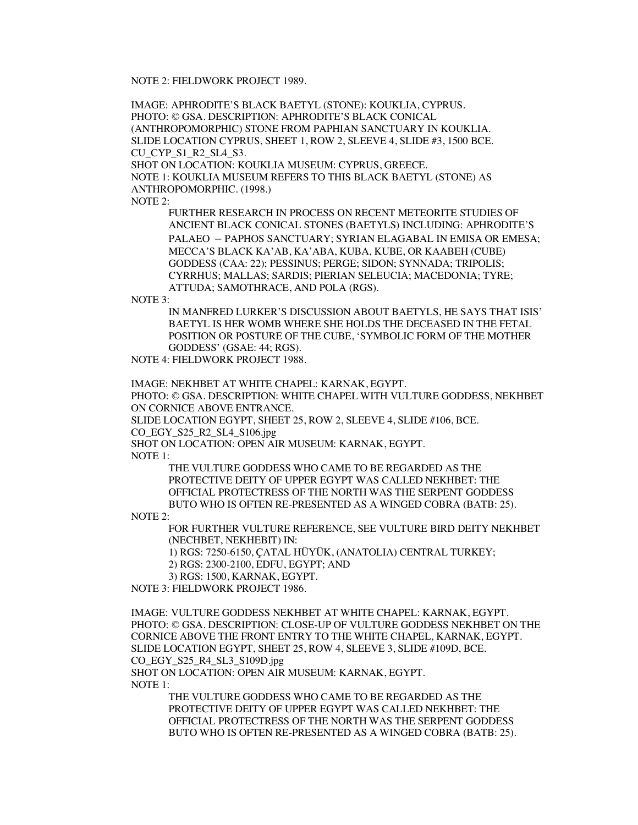NOTE 2: FIELDWORK PROJECT 1989.

IMAGE: APHRODITE'S BLACK BAETYL (STONE): KOUKLIA, CYPRUS. PHOTO: © GSA. DESCRIPTION: APHRODITE'S BLACK CONICAL (ANTHROPOMORPHIC) STONE FROM PAPHIAN SANCTUARY IN KOUKLIA. SLIDE LOCATION CYPRUS, SHEET 1, ROW 2, SLEEVE 4, SLIDE #3, 1500 BCE. CU CYP\_S1\_R2\_SL4\_S3. SHOT ON LOCATION: KOUKLIA MUSEUM: CYPRUS, GREECE.

NOTE 1: KOUKLIA MUSEUM REFERS TO THIS BLACK BAETYL (STONE) AS ANTHROPOMORPHIC. (1998.)

NOTE 2:

FURTHER RESEARCH IN PROCESS ON RECENT METEORITE STUDIES OF ANCIENT BLACK CONICAL STONES (BAETYLS) INCLUDING: APHRODITE'S PALAEO – PAPHOS SANCTUARY; SYRIAN ELAGABAL IN EMISA OR EMESA; MECCA'S BLACK KA'AB, KA'ABA, KUBA, KUBE, OR KAABEH (CUBE) GODDESS (CAA: 22); PESSINUS; PERGE; SIDON; SYNNADA; TRIPOLIS; CYRRHUS; MALLAS; SARDIS; PIERIAN SELEUCIA; MACEDONIA; TYRE; ATTUDA; SAMOTHRACE, AND POLA (RGS).

NOTE 3:

IN MANFRED LURKER'S DISCUSSION ABOUT BAETYLS, HE SAYS THAT ISIS' BAETYL IS HER WOMB WHERE SHE HOLDS THE DECEASED IN THE FETAL POSITION OR POSTURE OF THE CUBE, 'SYMBOLIC FORM OF THE MOTHER GODDESS' (GSAE: 44; RGS).

NOTE 4: FIELDWORK PROJECT 1988.

IMAGE: NEKHBET AT WHITE CHAPEL: KARNAK, EGYPT.

PHOTO: © GSA. DESCRIPTION: WHITE CHAPEL WITH VULTURE GODDESS, NEKHBET ON CORNICE ABOVE ENTRANCE.

SLIDE LOCATION EGYPT, SHEET 25, ROW 2, SLEEVE 4, SLIDE #106, BCE.

CO\_EGY\_S25\_R2\_SL4\_S106.jpg

SHOT ON LOCATION: OPEN AIR MUSEUM: KARNAK, EGYPT.

NOTE 1:

THE VULTURE GODDESS WHO CAME TO BE REGARDED AS THE PROTECTIVE DEITY OF UPPER EGYPT WAS CALLED NEKHBET: THE OFFICIAL PROTECTRESS OF THE NORTH WAS THE SERPENT GODDESS BUTO WHO IS OFTEN RE-PRESENTED AS A WINGED COBRA (BATB: 25).

NOTE 2:

FOR FURTHER VULTURE REFERENCE, SEE VULTURE BIRD DEITY NEKHBET (NECHBET, NEKHEBIT) IN:

1) RGS: 7250-6150, ÇATAL HÜYÜK, (ANATOLIA) CENTRAL TURKEY;

2) RGS: 2300-2100, EDFU, EGYPT; AND

3) RGS: 1500, KARNAK, EGYPT.

NOTE 3: FIELDWORK PROJECT 1986.

IMAGE: VULTURE GODDESS NEKHBET AT WHITE CHAPEL: KARNAK, EGYPT. PHOTO: © GSA. DESCRIPTION: CLOSE-UP OF VULTURE GODDESS NEKHBET ON THE CORNICE ABOVE THE FRONT ENTRY TO THE WHITE CHAPEL, KARNAK, EGYPT. SLIDE LOCATION EGYPT, SHEET 25, ROW 4, SLEEVE 3, SLIDE #109D, BCE. CO\_EGY\_S25\_R4\_SL3\_S109D.jpg

SHOT ON LOCATION: OPEN AIR MUSEUM: KARNAK, EGYPT. NOTE 1:

> THE VULTURE GODDESS WHO CAME TO BE REGARDED AS THE PROTECTIVE DEITY OF UPPER EGYPT WAS CALLED NEKHBET: THE OFFICIAL PROTECTRESS OF THE NORTH WAS THE SERPENT GODDESS BUTO WHO IS OFTEN RE-PRESENTED AS A WINGED COBRA (BATB: 25).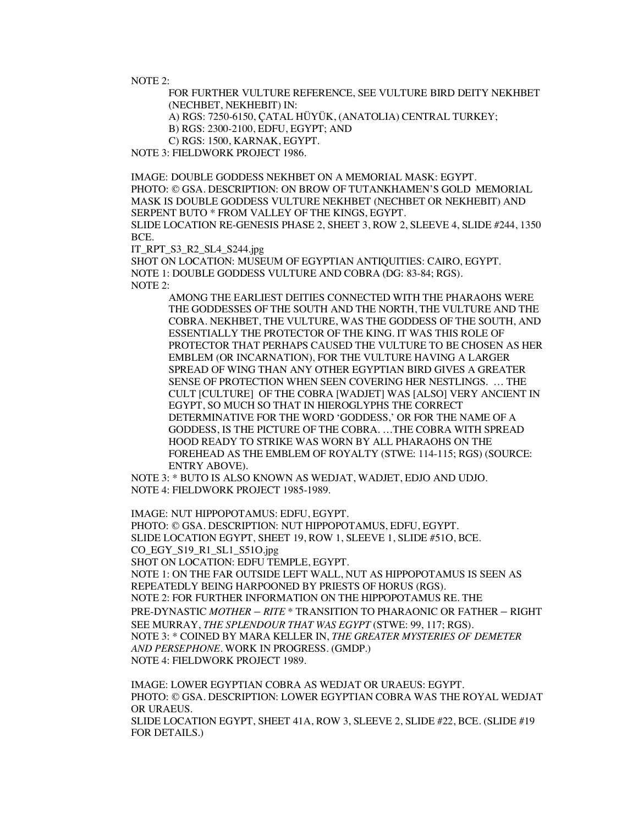NOTE 2:

FOR FURTHER VULTURE REFERENCE, SEE VULTURE BIRD DEITY NEKHBET (NECHBET, NEKHEBIT) IN:

A) RGS: 7250-6150, ÇATAL HÜYÜK, (ANATOLIA) CENTRAL TURKEY;

B) RGS: 2300-2100, EDFU, EGYPT; AND

C) RGS: 1500, KARNAK, EGYPT.

NOTE 3: FIELDWORK PROJECT 1986.

IMAGE: DOUBLE GODDESS NEKHBET ON A MEMORIAL MASK: EGYPT. PHOTO: © GSA. DESCRIPTION: ON BROW OF TUTANKHAMEN'S GOLD MEMORIAL MASK IS DOUBLE GODDESS VULTURE NEKHBET (NECHBET OR NEKHEBIT) AND SERPENT BUTO \* FROM VALLEY OF THE KINGS, EGYPT. SLIDE LOCATION RE-GENESIS PHASE 2, SHEET 3, ROW 2, SLEEVE 4, SLIDE #244, 1350 BCE.

IT\_RPT\_S3\_R2\_SL4\_S244.jpg

SHOT ON LOCATION: MUSEUM OF EGYPTIAN ANTIQUITIES: CAIRO, EGYPT. NOTE 1: DOUBLE GODDESS VULTURE AND COBRA (DG: 83-84; RGS). NOTE 2:

AMONG THE EARLIEST DEITIES CONNECTED WITH THE PHARAOHS WERE THE GODDESSES OF THE SOUTH AND THE NORTH, THE VULTURE AND THE COBRA. NEKHBET, THE VULTURE, WAS THE GODDESS OF THE SOUTH, AND ESSENTIALLY THE PROTECTOR OF THE KING. IT WAS THIS ROLE OF PROTECTOR THAT PERHAPS CAUSED THE VULTURE TO BE CHOSEN AS HER EMBLEM (OR INCARNATION), FOR THE VULTURE HAVING A LARGER SPREAD OF WING THAN ANY OTHER EGYPTIAN BIRD GIVES A GREATER SENSE OF PROTECTION WHEN SEEN COVERING HER NESTLINGS. … THE CULT [CULTURE] OF THE COBRA [WADJET] WAS [ALSO] VERY ANCIENT IN EGYPT, SO MUCH SO THAT IN HIEROGLYPHS THE CORRECT DETERMINATIVE FOR THE WORD 'GODDESS,' OR FOR THE NAME OF A GODDESS, IS THE PICTURE OF THE COBRA. …THE COBRA WITH SPREAD HOOD READY TO STRIKE WAS WORN BY ALL PHARAOHS ON THE FOREHEAD AS THE EMBLEM OF ROYALTY (STWE: 114-115; RGS) (SOURCE: ENTRY ABOVE).

NOTE 3: \* BUTO IS ALSO KNOWN AS WEDJAT, WADJET, EDJO AND UDJO. NOTE 4: FIELDWORK PROJECT 1985-1989.

IMAGE: NUT HIPPOPOTAMUS: EDFU, EGYPT. PHOTO: © GSA. DESCRIPTION: NUT HIPPOPOTAMUS, EDFU, EGYPT. SLIDE LOCATION EGYPT, SHEET 19, ROW 1, SLEEVE 1, SLIDE #51O, BCE. CO\_EGY\_S19\_R1\_SL1\_S51O.jpg SHOT ON LOCATION: EDFU TEMPLE, EGYPT. NOTE 1: ON THE FAR OUTSIDE LEFT WALL, NUT AS HIPPOPOTAMUS IS SEEN AS REPEATEDLY BEING HARPOONED BY PRIESTS OF HORUS (RGS). NOTE 2: FOR FURTHER INFORMATION ON THE HIPPOPOTAMUS RE. THE PRE-DYNASTIC *MOTHER – RITE* \* TRANSITION TO PHARAONIC OR FATHER – RIGHT SEE MURRAY, *THE SPLENDOUR THAT WAS EGYPT* (STWE: 99, 117; RGS). NOTE 3: \* COINED BY MARA KELLER IN, *THE GREATER MYSTERIES OF DEMETER AND PERSEPHONE*. WORK IN PROGRESS. (GMDP.) NOTE 4: FIELDWORK PROJECT 1989.

IMAGE: LOWER EGYPTIAN COBRA AS WEDJAT OR URAEUS: EGYPT. PHOTO: © GSA. DESCRIPTION: LOWER EGYPTIAN COBRA WAS THE ROYAL WEDJAT OR URAEUS. SLIDE LOCATION EGYPT, SHEET 41A, ROW 3, SLEEVE 2, SLIDE #22, BCE. (SLIDE #19 FOR DETAILS.)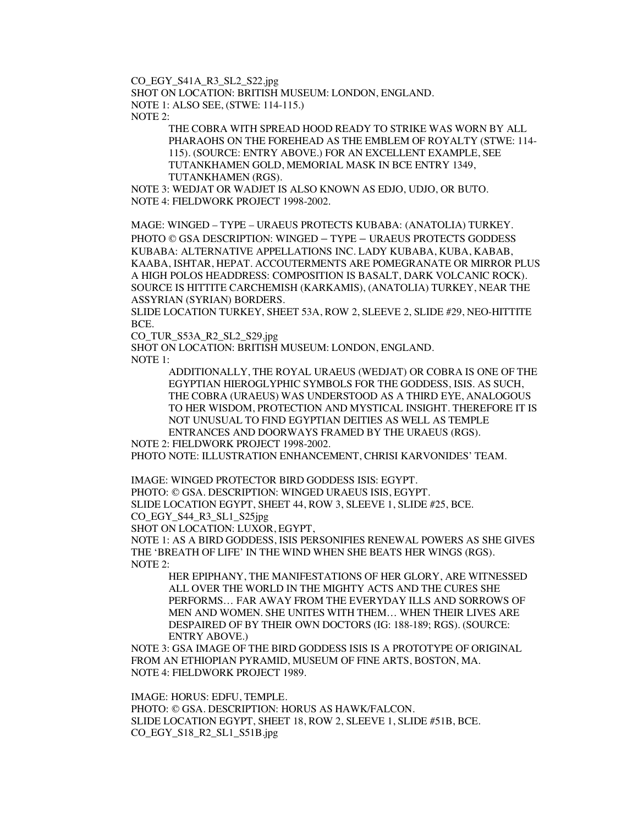CO\_EGY\_S41A\_R3\_SL2\_S22.jpg

SHOT ON LOCATION: BRITISH MUSEUM: LONDON, ENGLAND. NOTE 1: ALSO SEE, (STWE: 114-115.) NOTE 2:

> THE COBRA WITH SPREAD HOOD READY TO STRIKE WAS WORN BY ALL PHARAOHS ON THE FOREHEAD AS THE EMBLEM OF ROYALTY (STWE: 114- 115). (SOURCE: ENTRY ABOVE.) FOR AN EXCELLENT EXAMPLE, SEE TUTANKHAMEN GOLD, MEMORIAL MASK IN BCE ENTRY 1349, TUTANKHAMEN (RGS).

NOTE 3: WEDJAT OR WADJET IS ALSO KNOWN AS EDJO, UDJO, OR BUTO. NOTE 4: FIELDWORK PROJECT 1998-2002.

MAGE: WINGED – TYPE – URAEUS PROTECTS KUBABA: (ANATOLIA) TURKEY. PHOTO © GSA DESCRIPTION: WINGED – TYPE – URAEUS PROTECTS GODDESS KUBABA: ALTERNATIVE APPELLATIONS INC. LADY KUBABA, KUBA, KABAB, KAABA, ISHTAR, HEPAT. ACCOUTERMENTS ARE POMEGRANATE OR MIRROR PLUS A HIGH POLOS HEADDRESS: COMPOSITION IS BASALT, DARK VOLCANIC ROCK). SOURCE IS HITTITE CARCHEMISH (KARKAMIS), (ANATOLIA) TURKEY, NEAR THE ASSYRIAN (SYRIAN) BORDERS.

SLIDE LOCATION TURKEY, SHEET 53A, ROW 2, SLEEVE 2, SLIDE #29, NEO-HITTITE BCE.

CO\_TUR\_S53A\_R2\_SL2\_S29.jpg

SHOT ON LOCATION: BRITISH MUSEUM: LONDON, ENGLAND. NOTE 1:

> ADDITIONALLY, THE ROYAL URAEUS (WEDJAT) OR COBRA IS ONE OF THE EGYPTIAN HIEROGLYPHIC SYMBOLS FOR THE GODDESS, ISIS. AS SUCH, THE COBRA (URAEUS) WAS UNDERSTOOD AS A THIRD EYE, ANALOGOUS TO HER WISDOM, PROTECTION AND MYSTICAL INSIGHT. THEREFORE IT IS NOT UNUSUAL TO FIND EGYPTIAN DEITIES AS WELL AS TEMPLE ENTRANCES AND DOORWAYS FRAMED BY THE URAEUS (RGS).

NOTE 2: FIELDWORK PROJECT 1998-2002.

PHOTO NOTE: ILLUSTRATION ENHANCEMENT, CHRISI KARVONIDES' TEAM.

IMAGE: WINGED PROTECTOR BIRD GODDESS ISIS: EGYPT.

PHOTO: © GSA. DESCRIPTION: WINGED URAEUS ISIS, EGYPT.

SLIDE LOCATION EGYPT, SHEET 44, ROW 3, SLEEVE 1, SLIDE #25, BCE.

CO\_EGY\_S44\_R3\_SL1\_S25jpg

SHOT ON LOCATION: LUXOR, EGYPT,

NOTE 1: AS A BIRD GODDESS, ISIS PERSONIFIES RENEWAL POWERS AS SHE GIVES THE 'BREATH OF LIFE' IN THE WIND WHEN SHE BEATS HER WINGS (RGS). NOTE 2:

HER EPIPHANY, THE MANIFESTATIONS OF HER GLORY, ARE WITNESSED ALL OVER THE WORLD IN THE MIGHTY ACTS AND THE CURES SHE PERFORMS… FAR AWAY FROM THE EVERYDAY ILLS AND SORROWS OF MEN AND WOMEN. SHE UNITES WITH THEM… WHEN THEIR LIVES ARE DESPAIRED OF BY THEIR OWN DOCTORS (IG: 188-189; RGS). (SOURCE: ENTRY ABOVE.)

NOTE 3: GSA IMAGE OF THE BIRD GODDESS ISIS IS A PROTOTYPE OF ORIGINAL FROM AN ETHIOPIAN PYRAMID, MUSEUM OF FINE ARTS, BOSTON, MA. NOTE 4: FIELDWORK PROJECT 1989.

IMAGE: HORUS: EDFU, TEMPLE. PHOTO: © GSA. DESCRIPTION: HORUS AS HAWK/FALCON. SLIDE LOCATION EGYPT, SHEET 18, ROW 2, SLEEVE 1, SLIDE #51B, BCE. CO\_EGY\_S18\_R2\_SL1\_S51B.jpg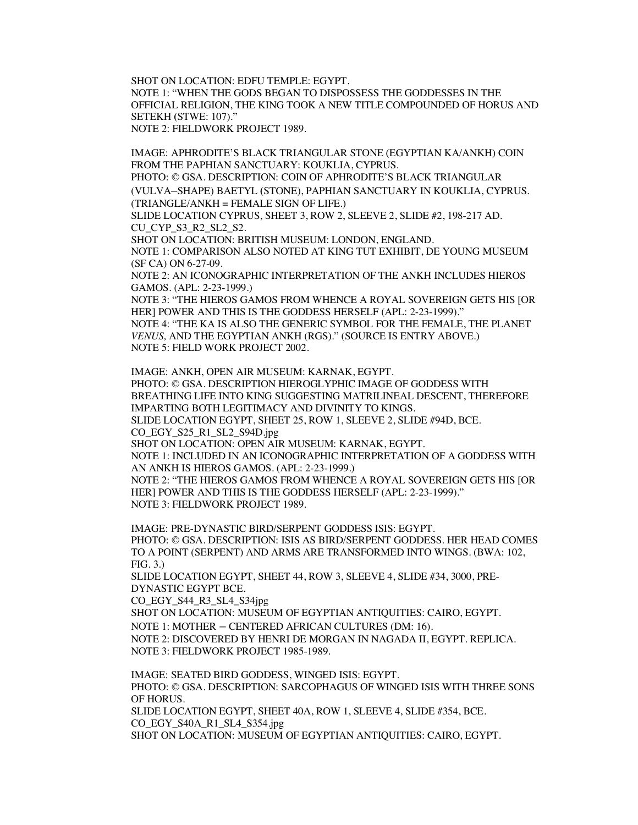SHOT ON LOCATION: EDFU TEMPLE: EGYPT. NOTE 1: "WHEN THE GODS BEGAN TO DISPOSSESS THE GODDESSES IN THE OFFICIAL RELIGION, THE KING TOOK A NEW TITLE COMPOUNDED OF HORUS AND SETEKH **(**STWE: 107)." NOTE 2: FIELDWORK PROJECT 1989.

IMAGE: APHRODITE'S BLACK TRIANGULAR STONE (EGYPTIAN KA/ANKH) COIN FROM THE PAPHIAN SANCTUARY: KOUKLIA, CYPRUS.

PHOTO: © GSA. DESCRIPTION: COIN OF APHRODITE'S BLACK TRIANGULAR (VULVA–SHAPE) BAETYL **(**STONE), PAPHIAN SANCTUARY IN KOUKLIA, CYPRUS.  $(TRIANGLE/ANKH = FEMALE SIGN OF LIFE.)$ 

SLIDE LOCATION CYPRUS, SHEET 3, ROW 2, SLEEVE 2, SLIDE #2, 198-217 AD. CU CYP S3 R2 SL2 S2.

SHOT ON LOCATION: BRITISH MUSEUM: LONDON, ENGLAND. NOTE 1: COMPARISON ALSO NOTED AT KING TUT EXHIBIT, DE YOUNG MUSEUM (SF CA) ON 6-27-09.

NOTE 2: AN ICONOGRAPHIC INTERPRETATION OF THE ANKH INCLUDES HIEROS GAMOS. (APL: 2-23-1999.)

NOTE 3: "THE HIEROS GAMOS FROM WHENCE A ROYAL SOVEREIGN GETS HIS [OR HER] POWER AND THIS IS THE GODDESS HERSELF (APL: 2-23-1999)."

NOTE 4: "THE KA IS ALSO THE GENERIC SYMBOL FOR THE FEMALE, THE PLANET *VENUS,* AND THE EGYPTIAN ANKH (RGS)." (SOURCE IS ENTRY ABOVE.) NOTE 5: FIELD WORK PROJECT 2002.

IMAGE: ANKH, OPEN AIR MUSEUM: KARNAK, EGYPT. PHOTO: © GSA. DESCRIPTION HIEROGLYPHIC IMAGE OF GODDESS WITH BREATHING LIFE INTO KING SUGGESTING MATRILINEAL DESCENT, THEREFORE IMPARTING BOTH LEGITIMACY AND DIVINITY TO KINGS. SLIDE LOCATION EGYPT, SHEET 25, ROW 1, SLEEVE 2, SLIDE #94D, BCE. CO\_EGY\_S25\_R1\_SL2\_S94D.jpg SHOT ON LOCATION: OPEN AIR MUSEUM: KARNAK, EGYPT. NOTE 1: INCLUDED IN AN ICONOGRAPHIC INTERPRETATION OF A GODDESS WITH AN ANKH IS HIEROS GAMOS. (APL: 2-23-1999.)

NOTE 2: "THE HIEROS GAMOS FROM WHENCE A ROYAL SOVEREIGN GETS HIS [OR HER] POWER AND THIS IS THE GODDESS HERSELF (APL: 2-23-1999)." NOTE 3: FIELDWORK PROJECT 1989.

IMAGE: PRE-DYNASTIC BIRD/SERPENT GODDESS ISIS: EGYPT. PHOTO: © GSA. DESCRIPTION: ISIS AS BIRD/SERPENT GODDESS. HER HEAD COMES TO A POINT (SERPENT) AND ARMS ARE TRANSFORMED INTO WINGS. (BWA: 102, FIG. 3.)

SLIDE LOCATION EGYPT, SHEET 44, ROW 3, SLEEVE 4, SLIDE #34, 3000, PRE-DYNASTIC EGYPT BCE.

CO\_EGY\_S44\_R3\_SL4\_S34jpg

SHOT ON LOCATION: MUSEUM OF EGYPTIAN ANTIQUITIES: CAIRO, EGYPT.

NOTE 1: MOTHER – CENTERED AFRICAN CULTURES (DM: 16).

NOTE 2: DISCOVERED BY HENRI DE MORGAN IN NAGADA II, EGYPT. REPLICA. NOTE 3: FIELDWORK PROJECT 1985-1989.

IMAGE: SEATED BIRD GODDESS, WINGED ISIS: EGYPT. PHOTO: © GSA. DESCRIPTION: SARCOPHAGUS OF WINGED ISIS WITH THREE SONS OF HORUS. SLIDE LOCATION EGYPT, SHEET 40A, ROW 1, SLEEVE 4, SLIDE #354, BCE. CO\_EGY\_S40A\_R1\_SL4\_S354.jpg

SHOT ON LOCATION: MUSEUM OF EGYPTIAN ANTIQUITIES: CAIRO, EGYPT.